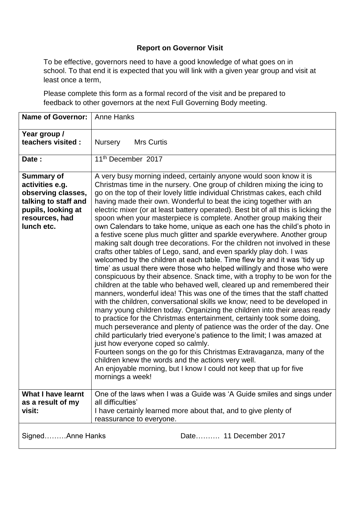To be effective, governors need to have a good knowledge of what goes on in school. To that end it is expected that you will link with a given year group and visit at least once a term,

Please complete this form as a formal record of the visit and be prepared to feedback to other governors at the next Full Governing Body meeting.

| <b>Name of Governor:</b>                                                                                                                 | <b>Anne Hanks</b>                                                                                                                                                                                                                                                                                                                                                                                                                                                                                                                                                                                                                                                                                                                                                                                                                                                                                                                                                                                                                                                                                                                                                                                                                                                                                                                                                                                                                                                                                                                                                                                                                                                                                                                                                                                                                    |
|------------------------------------------------------------------------------------------------------------------------------------------|--------------------------------------------------------------------------------------------------------------------------------------------------------------------------------------------------------------------------------------------------------------------------------------------------------------------------------------------------------------------------------------------------------------------------------------------------------------------------------------------------------------------------------------------------------------------------------------------------------------------------------------------------------------------------------------------------------------------------------------------------------------------------------------------------------------------------------------------------------------------------------------------------------------------------------------------------------------------------------------------------------------------------------------------------------------------------------------------------------------------------------------------------------------------------------------------------------------------------------------------------------------------------------------------------------------------------------------------------------------------------------------------------------------------------------------------------------------------------------------------------------------------------------------------------------------------------------------------------------------------------------------------------------------------------------------------------------------------------------------------------------------------------------------------------------------------------------------|
| Year group /<br>teachers visited :                                                                                                       | <b>Nursery</b><br><b>Mrs Curtis</b>                                                                                                                                                                                                                                                                                                                                                                                                                                                                                                                                                                                                                                                                                                                                                                                                                                                                                                                                                                                                                                                                                                                                                                                                                                                                                                                                                                                                                                                                                                                                                                                                                                                                                                                                                                                                  |
| Date:                                                                                                                                    | 11 <sup>th</sup> December 2017                                                                                                                                                                                                                                                                                                                                                                                                                                                                                                                                                                                                                                                                                                                                                                                                                                                                                                                                                                                                                                                                                                                                                                                                                                                                                                                                                                                                                                                                                                                                                                                                                                                                                                                                                                                                       |
| <b>Summary of</b><br>activities e.g.<br>observing classes,<br>talking to staff and<br>pupils, looking at<br>resources, had<br>lunch etc. | A very busy morning indeed, certainly anyone would soon know it is<br>Christmas time in the nursery. One group of children mixing the icing to<br>go on the top of their lovely little individual Christmas cakes, each child<br>having made their own. Wonderful to beat the icing together with an<br>electric mixer (or at least battery operated). Best bit of all this is licking the<br>spoon when your masterpiece is complete. Another group making their<br>own Calendars to take home, unique as each one has the child's photo in<br>a festive scene plus much glitter and sparkle everywhere. Another group<br>making salt dough tree decorations. For the children not involved in these<br>crafts other tables of Lego, sand, and even sparkly play doh. I was<br>welcomed by the children at each table. Time flew by and it was 'tidy up<br>time' as usual there were those who helped willingly and those who were<br>conspicuous by their absence. Snack time, with a trophy to be won for the<br>children at the table who behaved well, cleared up and remembered their<br>manners, wonderful idea! This was one of the times that the staff chatted<br>with the children, conversational skills we know; need to be developed in<br>many young children today. Organizing the children into their areas ready<br>to practice for the Christmas entertainment, certainly took some doing,<br>much perseverance and plenty of patience was the order of the day. One<br>child particularly tried everyone's patience to the limit; I was amazed at<br>just how everyone coped so calmly.<br>Fourteen songs on the go for this Christmas Extravaganza, many of the<br>children knew the words and the actions very well.<br>An enjoyable morning, but I know I could not keep that up for five<br>mornings a week! |
| <b>What I have learnt</b><br>as a result of my<br>visit:                                                                                 | One of the laws when I was a Guide was 'A Guide smiles and sings under<br>all difficulties'<br>I have certainly learned more about that, and to give plenty of<br>reassurance to everyone.                                                                                                                                                                                                                                                                                                                                                                                                                                                                                                                                                                                                                                                                                                                                                                                                                                                                                                                                                                                                                                                                                                                                                                                                                                                                                                                                                                                                                                                                                                                                                                                                                                           |
| SignedAnne Hanks                                                                                                                         | Date 11 December 2017                                                                                                                                                                                                                                                                                                                                                                                                                                                                                                                                                                                                                                                                                                                                                                                                                                                                                                                                                                                                                                                                                                                                                                                                                                                                                                                                                                                                                                                                                                                                                                                                                                                                                                                                                                                                                |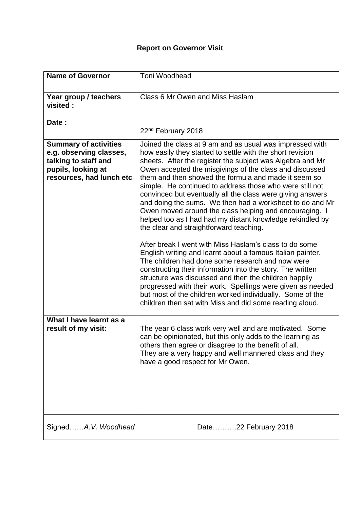| <b>Name of Governor</b>                                                                                                           | Toni Woodhead                                                                                                                                                                                                                                                                                                                                                                                                                                                                                                                                                                                                                                                                                                                                                                                                                                                                                                                                                    |
|-----------------------------------------------------------------------------------------------------------------------------------|------------------------------------------------------------------------------------------------------------------------------------------------------------------------------------------------------------------------------------------------------------------------------------------------------------------------------------------------------------------------------------------------------------------------------------------------------------------------------------------------------------------------------------------------------------------------------------------------------------------------------------------------------------------------------------------------------------------------------------------------------------------------------------------------------------------------------------------------------------------------------------------------------------------------------------------------------------------|
| Year group / teachers<br>visited:                                                                                                 | Class 6 Mr Owen and Miss Haslam                                                                                                                                                                                                                                                                                                                                                                                                                                                                                                                                                                                                                                                                                                                                                                                                                                                                                                                                  |
| Date:                                                                                                                             | 22 <sup>nd</sup> February 2018                                                                                                                                                                                                                                                                                                                                                                                                                                                                                                                                                                                                                                                                                                                                                                                                                                                                                                                                   |
| <b>Summary of activities</b><br>e.g. observing classes,<br>talking to staff and<br>pupils, looking at<br>resources, had lunch etc | Joined the class at 9 am and as usual was impressed with<br>how easily they started to settle with the short revision<br>sheets. After the register the subject was Algebra and Mr<br>Owen accepted the misgivings of the class and discussed<br>them and then showed the formula and made it seem so<br>simple. He continued to address those who were still not<br>convinced but eventually all the class were giving answers<br>and doing the sums. We then had a worksheet to do and Mr<br>Owen moved around the class helping and encouraging. I<br>helped too as I had had my distant knowledge rekindled by<br>the clear and straightforward teaching.<br>After break I went with Miss Haslam's class to do some<br>English writing and learnt about a famous Italian painter.<br>The children had done some research and now were<br>constructing their information into the story. The written<br>structure was discussed and then the children happily |
|                                                                                                                                   | progressed with their work. Spellings were given as needed<br>but most of the children worked individually. Some of the<br>children then sat with Miss and did some reading aloud.                                                                                                                                                                                                                                                                                                                                                                                                                                                                                                                                                                                                                                                                                                                                                                               |
| What I have learnt as a<br>result of my visit:                                                                                    | The year 6 class work very well and are motivated. Some<br>can be opinionated, but this only adds to the learning as<br>others then agree or disagree to the benefit of all.<br>They are a very happy and well mannered class and they<br>have a good respect for Mr Owen.                                                                                                                                                                                                                                                                                                                                                                                                                                                                                                                                                                                                                                                                                       |
| SignedA.V. Woodhead                                                                                                               | Date22 February 2018                                                                                                                                                                                                                                                                                                                                                                                                                                                                                                                                                                                                                                                                                                                                                                                                                                                                                                                                             |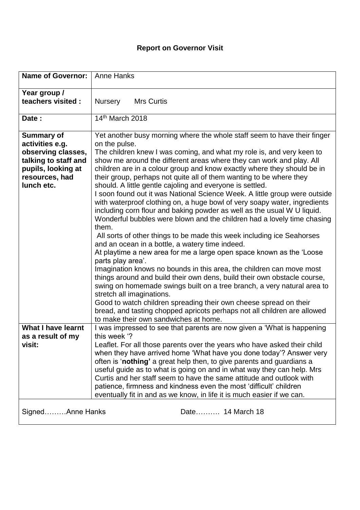| <b>Name of Governor:</b>                                                                                                                 | <b>Anne Hanks</b>                                                                                                                                                                                                                                                                                                                                                                                                                                                                                                                                                                                                                                                                                                                                                                                                                                                                                                                                                                                                                                                                                                                                                                                                                                                                                                                                                                                                                                                   |
|------------------------------------------------------------------------------------------------------------------------------------------|---------------------------------------------------------------------------------------------------------------------------------------------------------------------------------------------------------------------------------------------------------------------------------------------------------------------------------------------------------------------------------------------------------------------------------------------------------------------------------------------------------------------------------------------------------------------------------------------------------------------------------------------------------------------------------------------------------------------------------------------------------------------------------------------------------------------------------------------------------------------------------------------------------------------------------------------------------------------------------------------------------------------------------------------------------------------------------------------------------------------------------------------------------------------------------------------------------------------------------------------------------------------------------------------------------------------------------------------------------------------------------------------------------------------------------------------------------------------|
| Year group /<br>teachers visited :                                                                                                       | <b>Nursery</b><br><b>Mrs Curtis</b>                                                                                                                                                                                                                                                                                                                                                                                                                                                                                                                                                                                                                                                                                                                                                                                                                                                                                                                                                                                                                                                                                                                                                                                                                                                                                                                                                                                                                                 |
| Date:                                                                                                                                    | 14th March 2018                                                                                                                                                                                                                                                                                                                                                                                                                                                                                                                                                                                                                                                                                                                                                                                                                                                                                                                                                                                                                                                                                                                                                                                                                                                                                                                                                                                                                                                     |
| <b>Summary of</b><br>activities e.g.<br>observing classes,<br>talking to staff and<br>pupils, looking at<br>resources, had<br>lunch etc. | Yet another busy morning where the whole staff seem to have their finger<br>on the pulse.<br>The children knew I was coming, and what my role is, and very keen to<br>show me around the different areas where they can work and play. All<br>children are in a colour group and know exactly where they should be in<br>their group, perhaps not quite all of them wanting to be where they<br>should. A little gentle cajoling and everyone is settled.<br>I soon found out it was National Science Week. A little group were outside<br>with waterproof clothing on, a huge bowl of very soapy water, ingredients<br>including corn flour and baking powder as well as the usual W U liquid.<br>Wonderful bubbles were blown and the children had a lovely time chasing<br>them.<br>All sorts of other things to be made this week including ice Seahorses<br>and an ocean in a bottle, a watery time indeed.<br>At playtime a new area for me a large open space known as the 'Loose<br>parts play area'.<br>Imagination knows no bounds in this area, the children can move most<br>things around and build their own dens, build their own obstacle course,<br>swing on homemade swings built on a tree branch, a very natural area to<br>stretch all imaginations.<br>Good to watch children spreading their own cheese spread on their<br>bread, and tasting chopped apricots perhaps not all children are allowed<br>to make their own sandwiches at home. |
| <b>What I have learnt</b><br>as a result of my                                                                                           | I was impressed to see that parents are now given a 'What is happening<br>this week '?                                                                                                                                                                                                                                                                                                                                                                                                                                                                                                                                                                                                                                                                                                                                                                                                                                                                                                                                                                                                                                                                                                                                                                                                                                                                                                                                                                              |
| visit:                                                                                                                                   | Leaflet. For all those parents over the years who have asked their child<br>when they have arrived home 'What have you done today'? Answer very<br>often is 'nothing' a great help then, to give parents and guardians a<br>useful guide as to what is going on and in what way they can help. Mrs<br>Curtis and her staff seem to have the same attitude and outlook with<br>patience, firmness and kindness even the most 'difficult' children<br>eventually fit in and as we know, in life it is much easier if we can.                                                                                                                                                                                                                                                                                                                                                                                                                                                                                                                                                                                                                                                                                                                                                                                                                                                                                                                                          |
| SignedAnne Hanks                                                                                                                         | Date 14 March 18                                                                                                                                                                                                                                                                                                                                                                                                                                                                                                                                                                                                                                                                                                                                                                                                                                                                                                                                                                                                                                                                                                                                                                                                                                                                                                                                                                                                                                                    |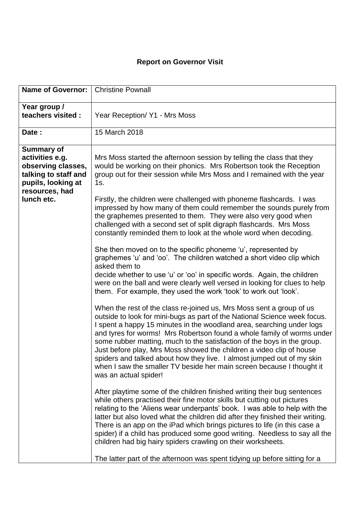| <b>Name of Governor:</b>                                                                                                   | <b>Christine Pownall</b>                                                                                                                                                                                                                                                                                                                                                                                                                                                                                                                                                                                                            |
|----------------------------------------------------------------------------------------------------------------------------|-------------------------------------------------------------------------------------------------------------------------------------------------------------------------------------------------------------------------------------------------------------------------------------------------------------------------------------------------------------------------------------------------------------------------------------------------------------------------------------------------------------------------------------------------------------------------------------------------------------------------------------|
| Year group /<br>teachers visited :                                                                                         | Year Reception/ Y1 - Mrs Moss                                                                                                                                                                                                                                                                                                                                                                                                                                                                                                                                                                                                       |
| Date:                                                                                                                      | 15 March 2018                                                                                                                                                                                                                                                                                                                                                                                                                                                                                                                                                                                                                       |
| <b>Summary of</b><br>activities e.g.<br>observing classes,<br>talking to staff and<br>pupils, looking at<br>resources, had | Mrs Moss started the afternoon session by telling the class that they<br>would be working on their phonics. Mrs Robertson took the Reception<br>group out for their session while Mrs Moss and I remained with the year<br>1s.                                                                                                                                                                                                                                                                                                                                                                                                      |
| lunch etc.                                                                                                                 | Firstly, the children were challenged with phoneme flashcards. I was<br>impressed by how many of them could remember the sounds purely from<br>the graphemes presented to them. They were also very good when<br>challenged with a second set of split digraph flashcards. Mrs Moss<br>constantly reminded them to look at the whole word when decoding.                                                                                                                                                                                                                                                                            |
|                                                                                                                            | She then moved on to the specific phoneme 'u', represented by<br>graphemes 'u' and 'oo'. The children watched a short video clip which<br>asked them to<br>decide whether to use 'u' or 'oo' in specific words. Again, the children<br>were on the ball and were clearly well versed in looking for clues to help<br>them. For example, they used the work 'took' to work out 'look'.                                                                                                                                                                                                                                               |
|                                                                                                                            | When the rest of the class re-joined us, Mrs Moss sent a group of us<br>outside to look for mini-bugs as part of the National Science week focus.<br>I spent a happy 15 minutes in the woodland area, searching under logs<br>and tyres for worms! Mrs Robertson found a whole family of worms under<br>some rubber matting, much to the satisfaction of the boys in the group.<br>Just before play, Mrs Moss showed the children a video clip of house<br>spiders and talked about how they live. I almost jumped out of my skin<br>when I saw the smaller TV beside her main screen because I thought it<br>was an actual spider! |
|                                                                                                                            | After playtime some of the children finished writing their bug sentences<br>while others practised their fine motor skills but cutting out pictures<br>relating to the 'Aliens wear underpants' book. I was able to help with the<br>latter but also loved what the children did after they finished their writing.<br>There is an app on the iPad which brings pictures to life (in this case a<br>spider) if a child has produced some good writing. Needless to say all the<br>children had big hairy spiders crawling on their worksheets.                                                                                      |
|                                                                                                                            | The latter part of the afternoon was spent tidying up before sitting for a                                                                                                                                                                                                                                                                                                                                                                                                                                                                                                                                                          |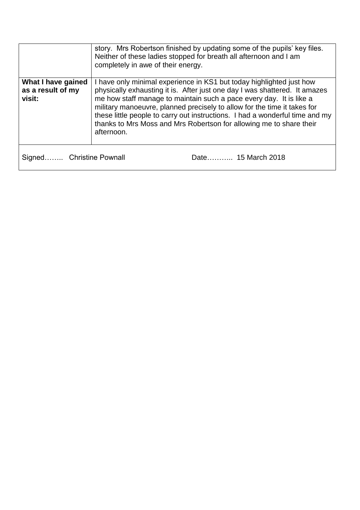|                                                   | story. Mrs Robertson finished by updating some of the pupils' key files.<br>Neither of these ladies stopped for breath all afternoon and I am<br>completely in awe of their energy.                                                                                                                                                                                                                                                                                        |
|---------------------------------------------------|----------------------------------------------------------------------------------------------------------------------------------------------------------------------------------------------------------------------------------------------------------------------------------------------------------------------------------------------------------------------------------------------------------------------------------------------------------------------------|
| What I have gained<br>as a result of my<br>visit: | I have only minimal experience in KS1 but today highlighted just how<br>physically exhausting it is. After just one day I was shattered. It amazes<br>me how staff manage to maintain such a pace every day. It is like a<br>military manoeuvre, planned precisely to allow for the time it takes for<br>these little people to carry out instructions. I had a wonderful time and my<br>thanks to Mrs Moss and Mrs Robertson for allowing me to share their<br>afternoon. |
| Signed Christine Pownall                          | Date 15 March 2018                                                                                                                                                                                                                                                                                                                                                                                                                                                         |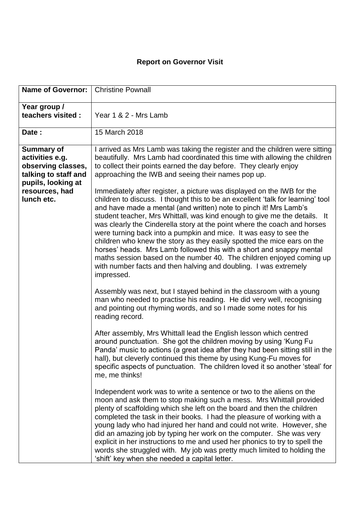| <b>Name of Governor:</b>                                                                                 | <b>Christine Pownall</b>                                                                                                                                                                                                                                                                                                                                                                                                                                                                                                                                                                                                                                                                                                                                                  |
|----------------------------------------------------------------------------------------------------------|---------------------------------------------------------------------------------------------------------------------------------------------------------------------------------------------------------------------------------------------------------------------------------------------------------------------------------------------------------------------------------------------------------------------------------------------------------------------------------------------------------------------------------------------------------------------------------------------------------------------------------------------------------------------------------------------------------------------------------------------------------------------------|
| Year group /<br>teachers visited:                                                                        | Year 1 & 2 - Mrs Lamb                                                                                                                                                                                                                                                                                                                                                                                                                                                                                                                                                                                                                                                                                                                                                     |
| Date:                                                                                                    | 15 March 2018                                                                                                                                                                                                                                                                                                                                                                                                                                                                                                                                                                                                                                                                                                                                                             |
| <b>Summary of</b><br>activities e.g.<br>observing classes,<br>talking to staff and<br>pupils, looking at | I arrived as Mrs Lamb was taking the register and the children were sitting<br>beautifully. Mrs Lamb had coordinated this time with allowing the children<br>to collect their points earned the day before. They clearly enjoy<br>approaching the IWB and seeing their names pop up.                                                                                                                                                                                                                                                                                                                                                                                                                                                                                      |
| resources, had<br>lunch etc.                                                                             | Immediately after register, a picture was displayed on the IWB for the<br>children to discuss. I thought this to be an excellent 'talk for learning' tool<br>and have made a mental (and written) note to pinch it! Mrs Lamb's<br>student teacher, Mrs Whittall, was kind enough to give me the details. It<br>was clearly the Cinderella story at the point where the coach and horses<br>were turning back into a pumpkin and mice. It was easy to see the<br>children who knew the story as they easily spotted the mice ears on the<br>horses' heads. Mrs Lamb followed this with a short and snappy mental<br>maths session based on the number 40. The children enjoyed coming up<br>with number facts and then halving and doubling. I was extremely<br>impressed. |
|                                                                                                          | Assembly was next, but I stayed behind in the classroom with a young<br>man who needed to practise his reading. He did very well, recognising<br>and pointing out rhyming words, and so I made some notes for his<br>reading record.                                                                                                                                                                                                                                                                                                                                                                                                                                                                                                                                      |
|                                                                                                          | After assembly, Mrs Whittall lead the English lesson which centred<br>around punctuation. She got the children moving by using 'Kung Fu<br>Panda' music to actions (a great idea after they had been sitting still in the<br>hall), but cleverly continued this theme by using Kung-Fu moves for<br>specific aspects of punctuation. The children loved it so another 'steal' for<br>me, me thinks!                                                                                                                                                                                                                                                                                                                                                                       |
|                                                                                                          | Independent work was to write a sentence or two to the aliens on the<br>moon and ask them to stop making such a mess. Mrs Whittall provided<br>plenty of scaffolding which she left on the board and then the children<br>completed the task in their books. I had the pleasure of working with a<br>young lady who had injured her hand and could not write. However, she<br>did an amazing job by typing her work on the computer. She was very<br>explicit in her instructions to me and used her phonics to try to spell the<br>words she struggled with. My job was pretty much limited to holding the<br>'shift' key when she needed a capital letter.                                                                                                              |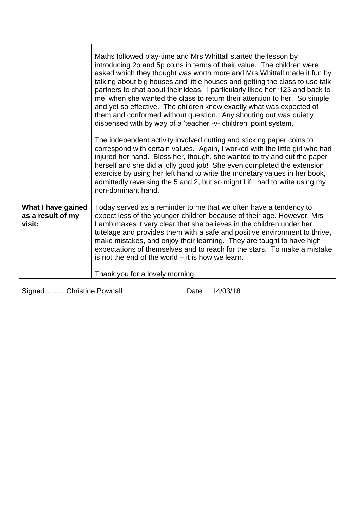|                                                   | Maths followed play-time and Mrs Whittall started the lesson by<br>introducing 2p and 5p coins in terms of their value. The children were<br>asked which they thought was worth more and Mrs Whittall made it fun by<br>talking about big houses and little houses and getting the class to use talk<br>partners to chat about their ideas. I particularly liked her '123 and back to<br>me' when she wanted the class to return their attention to her. So simple<br>and yet so effective. The children knew exactly what was expected of<br>them and conformed without question. Any shouting out was quietly<br>dispensed with by way of a 'teacher -v- children' point system.<br>The independent activity involved cutting and sticking paper coins to<br>correspond with certain values. Again, I worked with the little girl who had<br>injured her hand. Bless her, though, she wanted to try and cut the paper<br>herself and she did a jolly good job! She even completed the extension<br>exercise by using her left hand to write the monetary values in her book,<br>admittedly reversing the 5 and 2, but so might I if I had to write using my<br>non-dominant hand. |
|---------------------------------------------------|-------------------------------------------------------------------------------------------------------------------------------------------------------------------------------------------------------------------------------------------------------------------------------------------------------------------------------------------------------------------------------------------------------------------------------------------------------------------------------------------------------------------------------------------------------------------------------------------------------------------------------------------------------------------------------------------------------------------------------------------------------------------------------------------------------------------------------------------------------------------------------------------------------------------------------------------------------------------------------------------------------------------------------------------------------------------------------------------------------------------------------------------------------------------------------------|
| What I have gained<br>as a result of my<br>visit: | Today served as a reminder to me that we often have a tendency to<br>expect less of the younger children because of their age. However, Mrs<br>Lamb makes it very clear that she believes in the children under her<br>tutelage and provides them with a safe and positive environment to thrive,<br>make mistakes, and enjoy their learning. They are taught to have high<br>expectations of themselves and to reach for the stars. To make a mistake<br>is not the end of the world $-$ it is how we learn.<br>Thank you for a lovely morning.                                                                                                                                                                                                                                                                                                                                                                                                                                                                                                                                                                                                                                    |
| SignedChristine Pownall                           | 14/03/18<br>Date                                                                                                                                                                                                                                                                                                                                                                                                                                                                                                                                                                                                                                                                                                                                                                                                                                                                                                                                                                                                                                                                                                                                                                    |
|                                                   |                                                                                                                                                                                                                                                                                                                                                                                                                                                                                                                                                                                                                                                                                                                                                                                                                                                                                                                                                                                                                                                                                                                                                                                     |

'n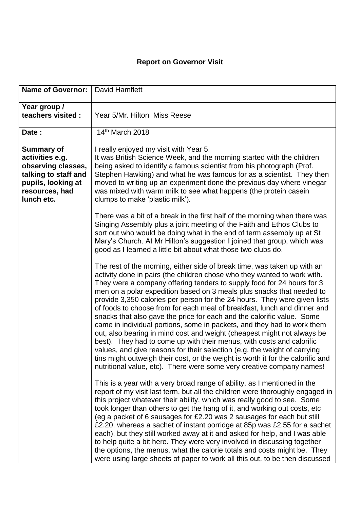| <b>Name of Governor:</b>                                                                                                                 | <b>David Hamflett</b>                                                                                                                                                                                                                                                                                                                                                                                                                                                                                                                                                                                                                                                                                                                                                                                                                                                                                                                                                                                              |
|------------------------------------------------------------------------------------------------------------------------------------------|--------------------------------------------------------------------------------------------------------------------------------------------------------------------------------------------------------------------------------------------------------------------------------------------------------------------------------------------------------------------------------------------------------------------------------------------------------------------------------------------------------------------------------------------------------------------------------------------------------------------------------------------------------------------------------------------------------------------------------------------------------------------------------------------------------------------------------------------------------------------------------------------------------------------------------------------------------------------------------------------------------------------|
| Year group /<br>teachers visited :                                                                                                       | Year 5/Mr. Hilton Miss Reese                                                                                                                                                                                                                                                                                                                                                                                                                                                                                                                                                                                                                                                                                                                                                                                                                                                                                                                                                                                       |
| Date:                                                                                                                                    | 14th March 2018                                                                                                                                                                                                                                                                                                                                                                                                                                                                                                                                                                                                                                                                                                                                                                                                                                                                                                                                                                                                    |
| <b>Summary of</b><br>activities e.g.<br>observing classes,<br>talking to staff and<br>pupils, looking at<br>resources, had<br>lunch etc. | I really enjoyed my visit with Year 5.<br>It was British Science Week, and the morning started with the children<br>being asked to identify a famous scientist from his photograph (Prof.<br>Stephen Hawking) and what he was famous for as a scientist. They then<br>moved to writing up an experiment done the previous day where vinegar<br>was mixed with warm milk to see what happens (the protein casein<br>clumps to make 'plastic milk').                                                                                                                                                                                                                                                                                                                                                                                                                                                                                                                                                                 |
|                                                                                                                                          | There was a bit of a break in the first half of the morning when there was<br>Singing Assembly plus a joint meeting of the Faith and Ethos Clubs to<br>sort out who would be doing what in the end of term assembly up at St<br>Mary's Church. At Mr Hilton's suggestion I joined that group, which was<br>good as I learned a little bit about what those two clubs do.                                                                                                                                                                                                                                                                                                                                                                                                                                                                                                                                                                                                                                           |
|                                                                                                                                          | The rest of the morning, either side of break time, was taken up with an<br>activity done in pairs (the children chose who they wanted to work with.<br>They were a company offering tenders to supply food for 24 hours for 3<br>men on a polar expedition based on 3 meals plus snacks that needed to<br>provide 3,350 calories per person for the 24 hours. They were given lists<br>of foods to choose from for each meal of breakfast, lunch and dinner and<br>snacks that also gave the price for each and the calorific value. Some<br>came in individual portions, some in packets, and they had to work them<br>out, also bearing in mind cost and weight (cheapest might not always be<br>best). They had to come up with their menus, with costs and calorific<br>values, and give reasons for their selection (e.g. the weight of carrying<br>tins might outweigh their cost, or the weight is worth it for the calorific and<br>nutritional value, etc). There were some very creative company names! |
|                                                                                                                                          | This is a year with a very broad range of ability, as I mentioned in the<br>report of my visit last term, but all the children were thoroughly engaged in<br>this project whatever their ability, which was really good to see. Some<br>took longer than others to get the hang of it, and working out costs, etc<br>(eg a packet of 6 sausages for £2.20 was 2 sausages for each but still<br>£2.20, whereas a sachet of instant porridge at 85p was £2.55 for a sachet<br>each), but they still worked away at it and asked for help, and I was able<br>to help quite a bit here. They were very involved in discussing together<br>the options, the menus, what the calorie totals and costs might be. They<br>were using large sheets of paper to work all this out, to be then discussed                                                                                                                                                                                                                      |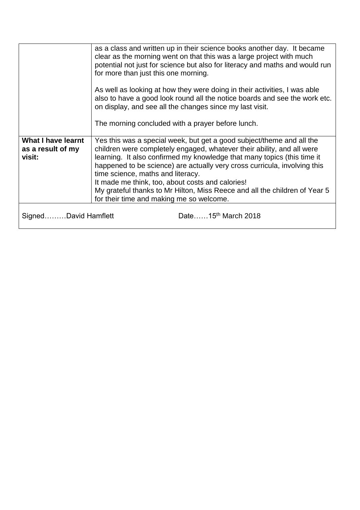|                                                          | as a class and written up in their science books another day. It became<br>clear as the morning went on that this was a large project with much<br>potential not just for science but also for literacy and maths and would run<br>for more than just this one morning.<br>As well as looking at how they were doing in their activities, I was able<br>also to have a good look round all the notice boards and see the work etc.<br>on display, and see all the changes since my last visit.<br>The morning concluded with a prayer before lunch. |
|----------------------------------------------------------|-----------------------------------------------------------------------------------------------------------------------------------------------------------------------------------------------------------------------------------------------------------------------------------------------------------------------------------------------------------------------------------------------------------------------------------------------------------------------------------------------------------------------------------------------------|
|                                                          |                                                                                                                                                                                                                                                                                                                                                                                                                                                                                                                                                     |
| <b>What I have learnt</b><br>as a result of my<br>visit: | Yes this was a special week, but get a good subject/theme and all the<br>children were completely engaged, whatever their ability, and all were<br>learning. It also confirmed my knowledge that many topics (this time it<br>happened to be science) are actually very cross curricula, involving this<br>time science, maths and literacy.<br>It made me think, too, about costs and calories!<br>My grateful thanks to Mr Hilton, Miss Reece and all the children of Year 5<br>for their time and making me so welcome.                          |
| Date15 <sup>th</sup> March 2018<br>SignedDavid Hamflett  |                                                                                                                                                                                                                                                                                                                                                                                                                                                                                                                                                     |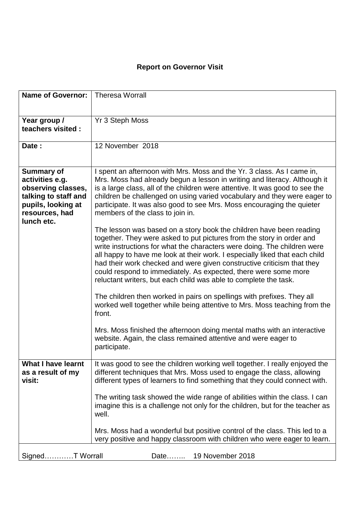| <b>Name of Governor:</b>                                                                                                                 | <b>Theresa Worrall</b>                                                                                                                                                                                                                                                                                                                                                                                                                                                                                                   |
|------------------------------------------------------------------------------------------------------------------------------------------|--------------------------------------------------------------------------------------------------------------------------------------------------------------------------------------------------------------------------------------------------------------------------------------------------------------------------------------------------------------------------------------------------------------------------------------------------------------------------------------------------------------------------|
| Year group /<br>teachers visited :                                                                                                       | Yr 3 Steph Moss                                                                                                                                                                                                                                                                                                                                                                                                                                                                                                          |
| Date:                                                                                                                                    | 12 November 2018                                                                                                                                                                                                                                                                                                                                                                                                                                                                                                         |
| <b>Summary of</b><br>activities e.g.<br>observing classes,<br>talking to staff and<br>pupils, looking at<br>resources, had<br>lunch etc. | I spent an afternoon with Mrs. Moss and the Yr. 3 class. As I came in,<br>Mrs. Moss had already begun a lesson in writing and literacy. Although it<br>is a large class, all of the children were attentive. It was good to see the<br>children be challenged on using varied vocabulary and they were eager to<br>participate. It was also good to see Mrs. Moss encouraging the quieter<br>members of the class to join in.                                                                                            |
|                                                                                                                                          | The lesson was based on a story book the children have been reading<br>together. They were asked to put pictures from the story in order and<br>write instructions for what the characters were doing. The children were<br>all happy to have me look at their work. I especially liked that each child<br>had their work checked and were given constructive criticism that they<br>could respond to immediately. As expected, there were some more<br>reluctant writers, but each child was able to complete the task. |
|                                                                                                                                          | The children then worked in pairs on spellings with prefixes. They all<br>worked well together while being attentive to Mrs. Moss teaching from the<br>front.                                                                                                                                                                                                                                                                                                                                                            |
|                                                                                                                                          | Mrs. Moss finished the afternoon doing mental maths with an interactive<br>website. Again, the class remained attentive and were eager to<br>participate.                                                                                                                                                                                                                                                                                                                                                                |
| <b>What I have learnt</b><br>as a result of my<br>visit:                                                                                 | It was good to see the children working well together. I really enjoyed the<br>different techniques that Mrs. Moss used to engage the class, allowing<br>different types of learners to find something that they could connect with.                                                                                                                                                                                                                                                                                     |
|                                                                                                                                          | The writing task showed the wide range of abilities within the class. I can<br>imagine this is a challenge not only for the children, but for the teacher as<br>well.                                                                                                                                                                                                                                                                                                                                                    |
|                                                                                                                                          | Mrs. Moss had a wonderful but positive control of the class. This led to a<br>very positive and happy classroom with children who were eager to learn.                                                                                                                                                                                                                                                                                                                                                                   |
| SignedT Worrall                                                                                                                          | 19 November 2018<br>Date                                                                                                                                                                                                                                                                                                                                                                                                                                                                                                 |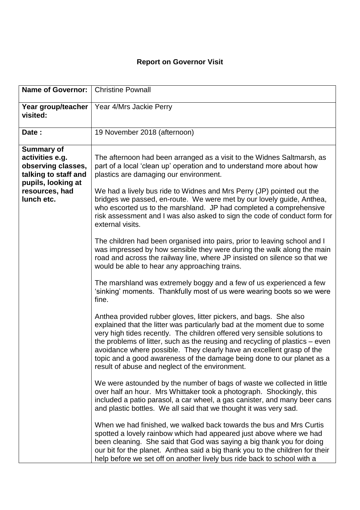| <b>Name of Governor:</b>                                                                                                                 | <b>Christine Pownall</b>                                                                                                                                                                                                                                                                                                                                                                                                                                                                                           |
|------------------------------------------------------------------------------------------------------------------------------------------|--------------------------------------------------------------------------------------------------------------------------------------------------------------------------------------------------------------------------------------------------------------------------------------------------------------------------------------------------------------------------------------------------------------------------------------------------------------------------------------------------------------------|
| Year group/teacher<br>visited:                                                                                                           | Year 4/Mrs Jackie Perry                                                                                                                                                                                                                                                                                                                                                                                                                                                                                            |
| Date:                                                                                                                                    | 19 November 2018 (afternoon)                                                                                                                                                                                                                                                                                                                                                                                                                                                                                       |
| <b>Summary of</b><br>activities e.g.<br>observing classes,<br>talking to staff and<br>pupils, looking at<br>resources, had<br>lunch etc. | The afternoon had been arranged as a visit to the Widnes Saltmarsh, as<br>part of a local 'clean up' operation and to understand more about how<br>plastics are damaging our environment.<br>We had a lively bus ride to Widnes and Mrs Perry (JP) pointed out the<br>bridges we passed, en-route. We were met by our lovely guide, Anthea,<br>who escorted us to the marshland. JP had completed a comprehensive<br>risk assessment and I was also asked to sign the code of conduct form for<br>external visits. |
|                                                                                                                                          | The children had been organised into pairs, prior to leaving school and I<br>was impressed by how sensible they were during the walk along the main<br>road and across the railway line, where JP insisted on silence so that we<br>would be able to hear any approaching trains.                                                                                                                                                                                                                                  |
|                                                                                                                                          | The marshland was extremely boggy and a few of us experienced a few<br>'sinking' moments. Thankfully most of us were wearing boots so we were<br>fine.                                                                                                                                                                                                                                                                                                                                                             |
|                                                                                                                                          | Anthea provided rubber gloves, litter pickers, and bags. She also<br>explained that the litter was particularly bad at the moment due to some<br>very high tides recently. The children offered very sensible solutions to<br>the problems of litter, such as the reusing and recycling of plastics $-$ even<br>avoidance where possible. They clearly have an excellent grasp of the<br>topic and a good awareness of the damage being done to our planet as a<br>result of abuse and neglect of the environment. |
|                                                                                                                                          | We were astounded by the number of bags of waste we collected in little<br>over half an hour. Mrs Whittaker took a photograph. Shockingly, this<br>included a patio parasol, a car wheel, a gas canister, and many beer cans<br>and plastic bottles. We all said that we thought it was very sad.                                                                                                                                                                                                                  |
|                                                                                                                                          | When we had finished, we walked back towards the bus and Mrs Curtis<br>spotted a lovely rainbow which had appeared just above where we had<br>been cleaning. She said that God was saying a big thank you for doing<br>our bit for the planet. Anthea said a big thank you to the children for their<br>help before we set off on another lively bus ride back to school with a                                                                                                                                    |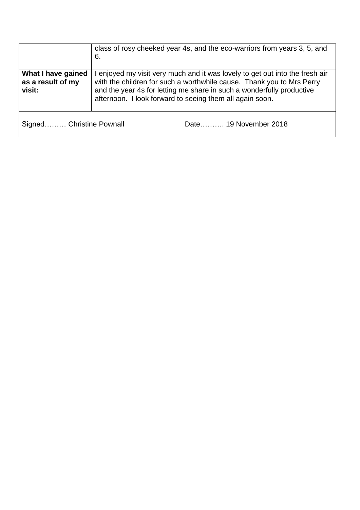|                                                   | class of rosy cheeked year 4s, and the eco-warriors from years 3, 5, and<br>6.                                                                                                                                                                                                             |
|---------------------------------------------------|--------------------------------------------------------------------------------------------------------------------------------------------------------------------------------------------------------------------------------------------------------------------------------------------|
| What I have gained<br>as a result of my<br>visit: | I enjoyed my visit very much and it was lovely to get out into the fresh air<br>with the children for such a worthwhile cause. Thank you to Mrs Perry<br>and the year 4s for letting me share in such a wonderfully productive<br>afternoon. I look forward to seeing them all again soon. |
| Signed Christine Pownall                          | Date 19 November 2018                                                                                                                                                                                                                                                                      |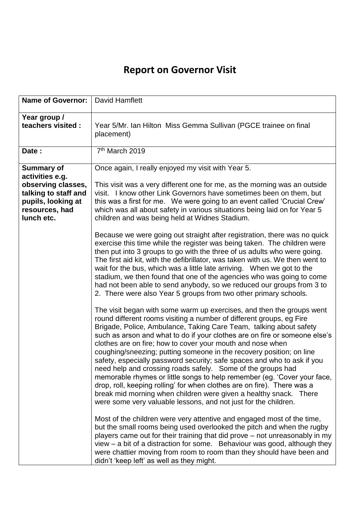| <b>Name of Governor:</b>                                                                                                                 | David Hamflett                                                                                                                                                                                                                                                                                                                                                                                                                                                                                                                                                                                                                                                                                                                                                                                                                                                                                                                                                                                                                                                                                                                                                                                                                                                                                                                                                                                                                                                                                                                                                                                                                                                                                                                                                                                                                                                                                  |
|------------------------------------------------------------------------------------------------------------------------------------------|-------------------------------------------------------------------------------------------------------------------------------------------------------------------------------------------------------------------------------------------------------------------------------------------------------------------------------------------------------------------------------------------------------------------------------------------------------------------------------------------------------------------------------------------------------------------------------------------------------------------------------------------------------------------------------------------------------------------------------------------------------------------------------------------------------------------------------------------------------------------------------------------------------------------------------------------------------------------------------------------------------------------------------------------------------------------------------------------------------------------------------------------------------------------------------------------------------------------------------------------------------------------------------------------------------------------------------------------------------------------------------------------------------------------------------------------------------------------------------------------------------------------------------------------------------------------------------------------------------------------------------------------------------------------------------------------------------------------------------------------------------------------------------------------------------------------------------------------------------------------------------------------------|
| Year group /<br>teachers visited :                                                                                                       | Year 5/Mr. Ian Hilton Miss Gemma Sullivan (PGCE trainee on final<br>placement)                                                                                                                                                                                                                                                                                                                                                                                                                                                                                                                                                                                                                                                                                                                                                                                                                                                                                                                                                                                                                                                                                                                                                                                                                                                                                                                                                                                                                                                                                                                                                                                                                                                                                                                                                                                                                  |
| Date:                                                                                                                                    | 7 <sup>th</sup> March 2019                                                                                                                                                                                                                                                                                                                                                                                                                                                                                                                                                                                                                                                                                                                                                                                                                                                                                                                                                                                                                                                                                                                                                                                                                                                                                                                                                                                                                                                                                                                                                                                                                                                                                                                                                                                                                                                                      |
| <b>Summary of</b><br>activities e.g.<br>observing classes,<br>talking to staff and<br>pupils, looking at<br>resources, had<br>lunch etc. | Once again, I really enjoyed my visit with Year 5.<br>This visit was a very different one for me, as the morning was an outside<br>visit. I know other Link Governors have sometimes been on them, but<br>this was a first for me. We were going to an event called 'Crucial Crew'<br>which was all about safety in various situations being laid on for Year 5<br>children and was being held at Widnes Stadium.                                                                                                                                                                                                                                                                                                                                                                                                                                                                                                                                                                                                                                                                                                                                                                                                                                                                                                                                                                                                                                                                                                                                                                                                                                                                                                                                                                                                                                                                               |
|                                                                                                                                          | Because we were going out straight after registration, there was no quick<br>exercise this time while the register was being taken. The children were<br>then put into 3 groups to go with the three of us adults who were going.<br>The first aid kit, with the defibrillator, was taken with us. We then went to<br>wait for the bus, which was a little late arriving. When we got to the<br>stadium, we then found that one of the agencies who was going to come<br>had not been able to send anybody, so we reduced our groups from 3 to<br>2. There were also Year 5 groups from two other primary schools.<br>The visit began with some warm up exercises, and then the groups went<br>round different rooms visiting a number of different groups, eg Fire<br>Brigade, Police, Ambulance, Taking Care Team, talking about safety<br>such as arson and what to do if your clothes are on fire or someone else's<br>clothes are on fire; how to cover your mouth and nose when<br>coughing/sneezing; putting someone in the recovery position; on line<br>safety, especially password security; safe spaces and who to ask if you<br>need help and crossing roads safely. Some of the groups had<br>memorable rhymes or little songs to help remember (eg. 'Cover your face,<br>drop, roll, keeping rolling' for when clothes are on fire). There was a<br>break mid morning when children were given a healthy snack. There<br>were some very valuable lessons, and not just for the children.<br>Most of the children were very attentive and engaged most of the time,<br>but the small rooms being used overlooked the pitch and when the rugby<br>players came out for their training that did prove - not unreasonably in my<br>$view - a bit of a distortion for some. Behavior was good, although they$<br>were chattier moving from room to room than they should have been and |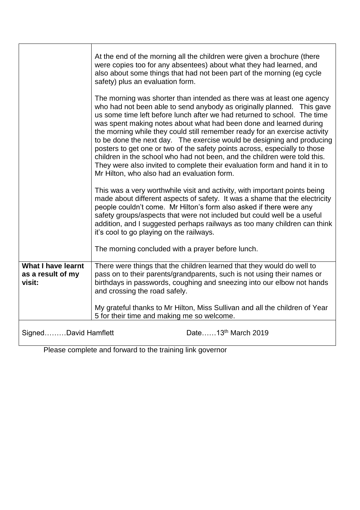|                                                          | At the end of the morning all the children were given a brochure (there<br>were copies too for any absentees) about what they had learned, and<br>also about some things that had not been part of the morning (eg cycle<br>safety) plus an evaluation form.                                                                                                                                                                                                                                                                                                                                                                                                                                                                                       |
|----------------------------------------------------------|----------------------------------------------------------------------------------------------------------------------------------------------------------------------------------------------------------------------------------------------------------------------------------------------------------------------------------------------------------------------------------------------------------------------------------------------------------------------------------------------------------------------------------------------------------------------------------------------------------------------------------------------------------------------------------------------------------------------------------------------------|
|                                                          | The morning was shorter than intended as there was at least one agency<br>who had not been able to send anybody as originally planned. This gave<br>us some time left before lunch after we had returned to school. The time<br>was spent making notes about what had been done and learned during<br>the morning while they could still remember ready for an exercise activity<br>to be done the next day. The exercise would be designing and producing<br>posters to get one or two of the safety points across, especially to those<br>children in the school who had not been, and the children were told this.<br>They were also invited to complete their evaluation form and hand it in to<br>Mr Hilton, who also had an evaluation form. |
|                                                          | This was a very worthwhile visit and activity, with important points being<br>made about different aspects of safety. It was a shame that the electricity<br>people couldn't come. Mr Hilton's form also asked if there were any<br>safety groups/aspects that were not included but could well be a useful<br>addition, and I suggested perhaps railways as too many children can think<br>it's cool to go playing on the railways.                                                                                                                                                                                                                                                                                                               |
|                                                          | The morning concluded with a prayer before lunch.                                                                                                                                                                                                                                                                                                                                                                                                                                                                                                                                                                                                                                                                                                  |
| <b>What I have learnt</b><br>as a result of my<br>visit: | There were things that the children learned that they would do well to<br>pass on to their parents/grandparents, such is not using their names or<br>birthdays in passwords, coughing and sneezing into our elbow not hands<br>and crossing the road safely.                                                                                                                                                                                                                                                                                                                                                                                                                                                                                       |
|                                                          | My grateful thanks to Mr Hilton, Miss Sullivan and all the children of Year<br>5 for their time and making me so welcome.                                                                                                                                                                                                                                                                                                                                                                                                                                                                                                                                                                                                                          |
| SignedDavid Hamflett                                     | Date13 <sup>th</sup> March 2019                                                                                                                                                                                                                                                                                                                                                                                                                                                                                                                                                                                                                                                                                                                    |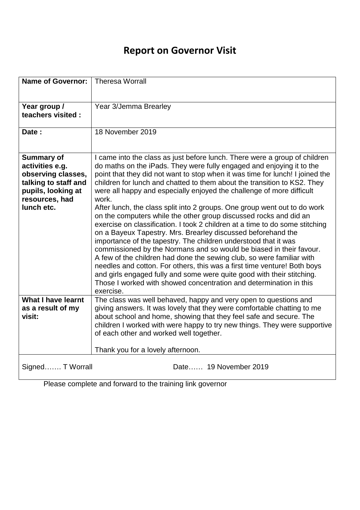| <b>Name of Governor:</b>                                                                                                                 | <b>Theresa Worrall</b>                                                                                                                                                                                                                                                                                                                                                                                                                                                                                                                                                                                                                                                                                                                                                                                                                                                                                                                                                                                                                                                                                                                                           |
|------------------------------------------------------------------------------------------------------------------------------------------|------------------------------------------------------------------------------------------------------------------------------------------------------------------------------------------------------------------------------------------------------------------------------------------------------------------------------------------------------------------------------------------------------------------------------------------------------------------------------------------------------------------------------------------------------------------------------------------------------------------------------------------------------------------------------------------------------------------------------------------------------------------------------------------------------------------------------------------------------------------------------------------------------------------------------------------------------------------------------------------------------------------------------------------------------------------------------------------------------------------------------------------------------------------|
| Year group /<br>teachers visited :                                                                                                       | Year 3/Jemma Brearley                                                                                                                                                                                                                                                                                                                                                                                                                                                                                                                                                                                                                                                                                                                                                                                                                                                                                                                                                                                                                                                                                                                                            |
| Date:                                                                                                                                    | 18 November 2019                                                                                                                                                                                                                                                                                                                                                                                                                                                                                                                                                                                                                                                                                                                                                                                                                                                                                                                                                                                                                                                                                                                                                 |
| <b>Summary of</b><br>activities e.g.<br>observing classes,<br>talking to staff and<br>pupils, looking at<br>resources, had<br>lunch etc. | I came into the class as just before lunch. There were a group of children<br>do maths on the iPads. They were fully engaged and enjoying it to the<br>point that they did not want to stop when it was time for lunch! I joined the<br>children for lunch and chatted to them about the transition to KS2. They<br>were all happy and especially enjoyed the challenge of more difficult<br>work.<br>After lunch, the class split into 2 groups. One group went out to do work<br>on the computers while the other group discussed rocks and did an<br>exercise on classification. I took 2 children at a time to do some stitching<br>on a Bayeux Tapestry. Mrs. Brearley discussed beforehand the<br>importance of the tapestry. The children understood that it was<br>commissioned by the Normans and so would be biased in their favour.<br>A few of the children had done the sewing club, so were familiar with<br>needles and cotton. For others, this was a first time venture! Both boys<br>and girls engaged fully and some were quite good with their stitching.<br>Those I worked with showed concentration and determination in this<br>exercise. |
| <b>What I have learnt</b><br>as a result of my<br>visit:                                                                                 | The class was well behaved, happy and very open to questions and<br>giving answers. It was lovely that they were comfortable chatting to me<br>about school and home, showing that they feel safe and secure. The<br>children I worked with were happy to try new things. They were supportive<br>of each other and worked well together.                                                                                                                                                                                                                                                                                                                                                                                                                                                                                                                                                                                                                                                                                                                                                                                                                        |
| Signed T Worrall                                                                                                                         | Thank you for a lovely afternoon.<br>Date 19 November 2019                                                                                                                                                                                                                                                                                                                                                                                                                                                                                                                                                                                                                                                                                                                                                                                                                                                                                                                                                                                                                                                                                                       |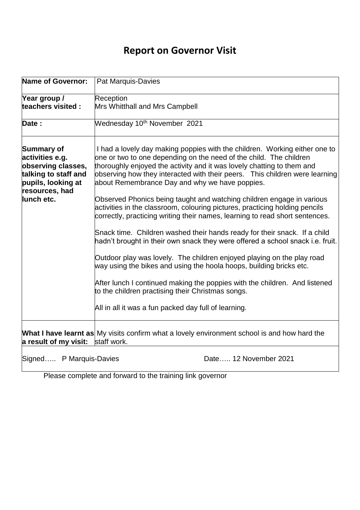| <b>Name of Governor:</b>                                                                                                          | Pat Marquis-Davies                                                                                                                                                                                                                                                                                                                                                                                                                                                                                                                                                                                                                                                                                                                                                                                                                                                                                                                                                                                                                                                                                              |
|-----------------------------------------------------------------------------------------------------------------------------------|-----------------------------------------------------------------------------------------------------------------------------------------------------------------------------------------------------------------------------------------------------------------------------------------------------------------------------------------------------------------------------------------------------------------------------------------------------------------------------------------------------------------------------------------------------------------------------------------------------------------------------------------------------------------------------------------------------------------------------------------------------------------------------------------------------------------------------------------------------------------------------------------------------------------------------------------------------------------------------------------------------------------------------------------------------------------------------------------------------------------|
| Year group /<br>teachers visited:                                                                                                 | Reception<br>Mrs Whitthall and Mrs Campbell                                                                                                                                                                                                                                                                                                                                                                                                                                                                                                                                                                                                                                                                                                                                                                                                                                                                                                                                                                                                                                                                     |
| Date:                                                                                                                             | Wednesday 10 <sup>th</sup> November 2021                                                                                                                                                                                                                                                                                                                                                                                                                                                                                                                                                                                                                                                                                                                                                                                                                                                                                                                                                                                                                                                                        |
| Summary of<br>activities e.g.<br>observing classes,<br>talking to staff and<br>pupils, looking at<br>resources, had<br>lunch etc. | I had a lovely day making poppies with the children. Working either one to<br>one or two to one depending on the need of the child. The children<br>thoroughly enjoyed the activity and it was lovely chatting to them and<br>observing how they interacted with their peers.  This children were learning<br>about Remembrance Day and why we have poppies.<br>Observed Phonics being taught and watching children engage in various<br>activities in the classroom, colouring pictures, practicing holding pencils<br>correctly, practicing writing their names, learning to read short sentences.<br>Snack time. Children washed their hands ready for their snack. If a child<br>hadn't brought in their own snack they were offered a school snack i.e. fruit.<br>Outdoor play was lovely. The children enjoyed playing on the play road<br>way using the bikes and using the hoola hoops, building bricks etc.<br>After lunch I continued making the poppies with the children. And listened<br>to the children practising their Christmas songs.<br>All in all it was a fun packed day full of learning. |
| a result of my visit:                                                                                                             | <b>What I have learnt as</b> My visits confirm what a lovely environment school is and how hard the<br>staff work.                                                                                                                                                                                                                                                                                                                                                                                                                                                                                                                                                                                                                                                                                                                                                                                                                                                                                                                                                                                              |
| Signed P Marquis-Davies                                                                                                           | Date 12 November 2021                                                                                                                                                                                                                                                                                                                                                                                                                                                                                                                                                                                                                                                                                                                                                                                                                                                                                                                                                                                                                                                                                           |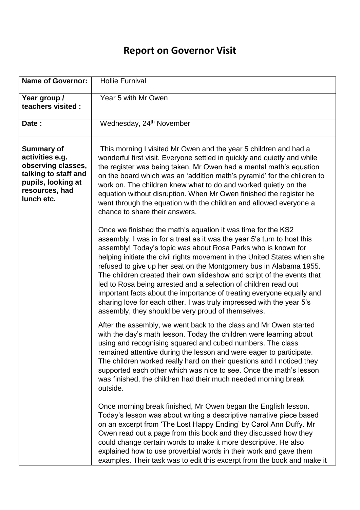| <b>Name of Governor:</b>                                                                                                                 | <b>Hollie Furnival</b>                                                                                                                                                                                                                                                                                                                                                                                                                                                                                                                                                                                                                                                                                         |
|------------------------------------------------------------------------------------------------------------------------------------------|----------------------------------------------------------------------------------------------------------------------------------------------------------------------------------------------------------------------------------------------------------------------------------------------------------------------------------------------------------------------------------------------------------------------------------------------------------------------------------------------------------------------------------------------------------------------------------------------------------------------------------------------------------------------------------------------------------------|
| Year group /<br>teachers visited :                                                                                                       | Year 5 with Mr Owen                                                                                                                                                                                                                                                                                                                                                                                                                                                                                                                                                                                                                                                                                            |
| Date:                                                                                                                                    | Wednesday, 24 <sup>th</sup> November                                                                                                                                                                                                                                                                                                                                                                                                                                                                                                                                                                                                                                                                           |
| <b>Summary of</b><br>activities e.g.<br>observing classes,<br>talking to staff and<br>pupils, looking at<br>resources, had<br>lunch etc. | This morning I visited Mr Owen and the year 5 children and had a<br>wonderful first visit. Everyone settled in quickly and quietly and while<br>the register was being taken, Mr Owen had a mental math's equation<br>on the board which was an 'addition math's pyramid' for the children to<br>work on. The children knew what to do and worked quietly on the<br>equation without disruption. When Mr Owen finished the register he<br>went through the equation with the children and allowed everyone a<br>chance to share their answers.                                                                                                                                                                 |
|                                                                                                                                          | Once we finished the math's equation it was time for the KS2<br>assembly. I was in for a treat as it was the year 5's turn to host this<br>assembly! Today's topic was about Rosa Parks who is known for<br>helping initiate the civil rights movement in the United States when she<br>refused to give up her seat on the Montgomery bus in Alabama 1955.<br>The children created their own slideshow and script of the events that<br>led to Rosa being arrested and a selection of children read out<br>important facts about the importance of treating everyone equally and<br>sharing love for each other. I was truly impressed with the year 5's<br>assembly, they should be very proud of themselves. |
|                                                                                                                                          | After the assembly, we went back to the class and Mr Owen started<br>with the day's math lesson. Today the children were learning about<br>using and recognising squared and cubed numbers. The class<br>remained attentive during the lesson and were eager to participate.<br>The children worked really hard on their questions and I noticed they<br>supported each other which was nice to see. Once the math's lesson<br>was finished, the children had their much needed morning break<br>outside.                                                                                                                                                                                                      |
|                                                                                                                                          | Once morning break finished, Mr Owen began the English lesson.<br>Today's lesson was about writing a descriptive narrative piece based<br>on an excerpt from 'The Lost Happy Ending' by Carol Ann Duffy. Mr<br>Owen read out a page from this book and they discussed how they<br>could change certain words to make it more descriptive. He also<br>explained how to use proverbial words in their work and gave them<br>examples. Their task was to edit this excerpt from the book and make it                                                                                                                                                                                                              |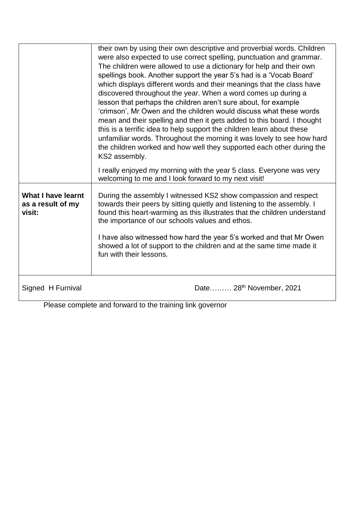|                                                          | their own by using their own descriptive and proverbial words. Children<br>were also expected to use correct spelling, punctuation and grammar.<br>The children were allowed to use a dictionary for help and their own<br>spellings book. Another support the year 5's had is a 'Vocab Board'<br>which displays different words and their meanings that the class have<br>discovered throughout the year. When a word comes up during a<br>lesson that perhaps the children aren't sure about, for example<br>'crimson', Mr Owen and the children would discuss what these words<br>mean and their spelling and then it gets added to this board. I thought<br>this is a terrific idea to help support the children learn about these<br>unfamiliar words. Throughout the morning it was lovely to see how hard<br>the children worked and how well they supported each other during the<br>KS2 assembly. |
|----------------------------------------------------------|------------------------------------------------------------------------------------------------------------------------------------------------------------------------------------------------------------------------------------------------------------------------------------------------------------------------------------------------------------------------------------------------------------------------------------------------------------------------------------------------------------------------------------------------------------------------------------------------------------------------------------------------------------------------------------------------------------------------------------------------------------------------------------------------------------------------------------------------------------------------------------------------------------|
|                                                          | I really enjoyed my morning with the year 5 class. Everyone was very<br>welcoming to me and I look forward to my next visit!                                                                                                                                                                                                                                                                                                                                                                                                                                                                                                                                                                                                                                                                                                                                                                               |
| <b>What I have learnt</b><br>as a result of my<br>visit: | During the assembly I witnessed KS2 show compassion and respect<br>towards their peers by sitting quietly and listening to the assembly. I<br>found this heart-warming as this illustrates that the children understand<br>the importance of our schools values and ethos.<br>I have also witnessed how hard the year 5's worked and that Mr Owen<br>showed a lot of support to the children and at the same time made it<br>fun with their lessons.                                                                                                                                                                                                                                                                                                                                                                                                                                                       |
| Signed H Furnival                                        | Date 28 <sup>th</sup> November, 2021                                                                                                                                                                                                                                                                                                                                                                                                                                                                                                                                                                                                                                                                                                                                                                                                                                                                       |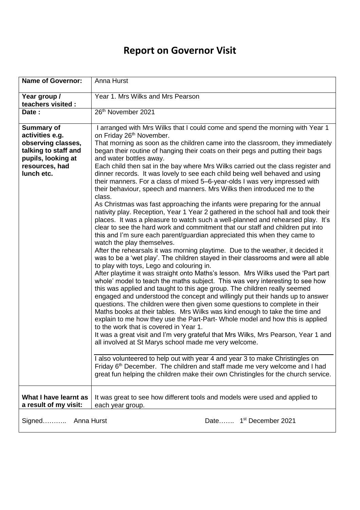| <b>Name of Governor:</b>                                                                                                                 | Anna Hurst                                                                                                                                                                                                                                                                                                                                                                                                                                                                                                                                                                                                                                                                                                                                                                                                                                                                                                                                                                                                                                                                                                                                                                                                                                                                                                                                                                                                                                                                                                                                                                                                                                                                                                                                                                                                                                                                                                                                                                                                                                                                                                                                                                                                                                                                                                                                                                            |
|------------------------------------------------------------------------------------------------------------------------------------------|---------------------------------------------------------------------------------------------------------------------------------------------------------------------------------------------------------------------------------------------------------------------------------------------------------------------------------------------------------------------------------------------------------------------------------------------------------------------------------------------------------------------------------------------------------------------------------------------------------------------------------------------------------------------------------------------------------------------------------------------------------------------------------------------------------------------------------------------------------------------------------------------------------------------------------------------------------------------------------------------------------------------------------------------------------------------------------------------------------------------------------------------------------------------------------------------------------------------------------------------------------------------------------------------------------------------------------------------------------------------------------------------------------------------------------------------------------------------------------------------------------------------------------------------------------------------------------------------------------------------------------------------------------------------------------------------------------------------------------------------------------------------------------------------------------------------------------------------------------------------------------------------------------------------------------------------------------------------------------------------------------------------------------------------------------------------------------------------------------------------------------------------------------------------------------------------------------------------------------------------------------------------------------------------------------------------------------------------------------------------------------------|
| Year group /<br>teachers visited :                                                                                                       | Year 1. Mrs Wilks and Mrs Pearson                                                                                                                                                                                                                                                                                                                                                                                                                                                                                                                                                                                                                                                                                                                                                                                                                                                                                                                                                                                                                                                                                                                                                                                                                                                                                                                                                                                                                                                                                                                                                                                                                                                                                                                                                                                                                                                                                                                                                                                                                                                                                                                                                                                                                                                                                                                                                     |
| Date:                                                                                                                                    | 26th November 2021                                                                                                                                                                                                                                                                                                                                                                                                                                                                                                                                                                                                                                                                                                                                                                                                                                                                                                                                                                                                                                                                                                                                                                                                                                                                                                                                                                                                                                                                                                                                                                                                                                                                                                                                                                                                                                                                                                                                                                                                                                                                                                                                                                                                                                                                                                                                                                    |
| <b>Summary of</b><br>activities e.g.<br>observing classes,<br>talking to staff and<br>pupils, looking at<br>resources, had<br>lunch etc. | I arranged with Mrs Wilks that I could come and spend the morning with Year 1<br>on Friday 26 <sup>th</sup> November.<br>That morning as soon as the children came into the classroom, they immediately<br>began their routine of hanging their coats on their pegs and putting their bags<br>and water bottles away.<br>Each child then sat in the bay where Mrs Wilks carried out the class register and<br>dinner records. It was lovely to see each child being well behaved and using<br>their manners. For a class of mixed 5-6-year-olds I was very impressed with<br>their behaviour, speech and manners. Mrs Wilks then introduced me to the<br>class.<br>As Christmas was fast approaching the infants were preparing for the annual<br>nativity play. Reception, Year 1 Year 2 gathered in the school hall and took their<br>places. It was a pleasure to watch such a well-planned and rehearsed play. It's<br>clear to see the hard work and commitment that our staff and children put into<br>this and I'm sure each parent/guardian appreciated this when they came to<br>watch the play themselves.<br>After the rehearsals it was morning playtime. Due to the weather, it decided it<br>was to be a 'wet play'. The children stayed in their classrooms and were all able<br>to play with toys, Lego and colouring in.<br>After playtime it was straight onto Maths's lesson. Mrs Wilks used the 'Part part<br>whole' model to teach the maths subject. This was very interesting to see how<br>this was applied and taught to this age group. The children really seemed<br>engaged and understood the concept and willingly put their hands up to answer<br>questions. The children were then given some questions to complete in their<br>Maths books at their tables. Mrs Wilks was kind enough to take the time and<br>explain to me how they use the Part-Part-Whole model and how this is applied<br>to the work that is covered in Year 1.<br>It was a great visit and I'm very grateful that Mrs Wilks, Mrs Pearson, Year 1 and<br>all involved at St Marys school made me very welcome.<br>I also volunteered to help out with year 4 and year 3 to make Christingles on<br>Friday 6 <sup>th</sup> December. The children and staff made me very welcome and I had<br>great fun helping the children make their own Christingles for the church service. |
| What I have learnt as<br>a result of my visit:                                                                                           | It was great to see how different tools and models were used and applied to<br>each year group.                                                                                                                                                                                                                                                                                                                                                                                                                                                                                                                                                                                                                                                                                                                                                                                                                                                                                                                                                                                                                                                                                                                                                                                                                                                                                                                                                                                                                                                                                                                                                                                                                                                                                                                                                                                                                                                                                                                                                                                                                                                                                                                                                                                                                                                                                       |
| Anna Hurst                                                                                                                               | Date 1 <sup>st</sup> December 2021                                                                                                                                                                                                                                                                                                                                                                                                                                                                                                                                                                                                                                                                                                                                                                                                                                                                                                                                                                                                                                                                                                                                                                                                                                                                                                                                                                                                                                                                                                                                                                                                                                                                                                                                                                                                                                                                                                                                                                                                                                                                                                                                                                                                                                                                                                                                                    |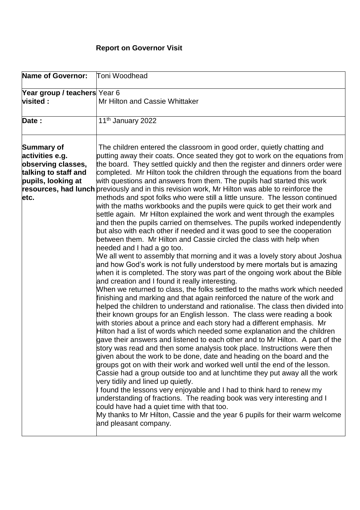| Name of Governor:                                                                                         | Toni Woodhead                                                                                                                                                                                                                                                                                                                                                                                                                                                                                                                                                                                                                                                                                                                                                                                                                                                                                                                                                                                                                                                                                                                                                                                                                                                                                                                                                                                                                                                                                                                                                                                                                                                                                                                                                                                                                                                                                                                                                                                                                                                                                                                                                                                                                                                                                                                                                                                                                                                                                                                                |
|-----------------------------------------------------------------------------------------------------------|----------------------------------------------------------------------------------------------------------------------------------------------------------------------------------------------------------------------------------------------------------------------------------------------------------------------------------------------------------------------------------------------------------------------------------------------------------------------------------------------------------------------------------------------------------------------------------------------------------------------------------------------------------------------------------------------------------------------------------------------------------------------------------------------------------------------------------------------------------------------------------------------------------------------------------------------------------------------------------------------------------------------------------------------------------------------------------------------------------------------------------------------------------------------------------------------------------------------------------------------------------------------------------------------------------------------------------------------------------------------------------------------------------------------------------------------------------------------------------------------------------------------------------------------------------------------------------------------------------------------------------------------------------------------------------------------------------------------------------------------------------------------------------------------------------------------------------------------------------------------------------------------------------------------------------------------------------------------------------------------------------------------------------------------------------------------------------------------------------------------------------------------------------------------------------------------------------------------------------------------------------------------------------------------------------------------------------------------------------------------------------------------------------------------------------------------------------------------------------------------------------------------------------------------|
| Year group / teachers Year 6                                                                              |                                                                                                                                                                                                                                                                                                                                                                                                                                                                                                                                                                                                                                                                                                                                                                                                                                                                                                                                                                                                                                                                                                                                                                                                                                                                                                                                                                                                                                                                                                                                                                                                                                                                                                                                                                                                                                                                                                                                                                                                                                                                                                                                                                                                                                                                                                                                                                                                                                                                                                                                              |
| <b>visited:</b>                                                                                           | Mr Hilton and Cassie Whittaker                                                                                                                                                                                                                                                                                                                                                                                                                                                                                                                                                                                                                                                                                                                                                                                                                                                                                                                                                                                                                                                                                                                                                                                                                                                                                                                                                                                                                                                                                                                                                                                                                                                                                                                                                                                                                                                                                                                                                                                                                                                                                                                                                                                                                                                                                                                                                                                                                                                                                                               |
| Date:                                                                                                     | 11 <sup>th</sup> January 2022                                                                                                                                                                                                                                                                                                                                                                                                                                                                                                                                                                                                                                                                                                                                                                                                                                                                                                                                                                                                                                                                                                                                                                                                                                                                                                                                                                                                                                                                                                                                                                                                                                                                                                                                                                                                                                                                                                                                                                                                                                                                                                                                                                                                                                                                                                                                                                                                                                                                                                                |
| Summary of<br>activities e.g.<br>observing classes,<br>talking to staff and<br>pupils, looking at<br>etc. | The children entered the classroom in good order, quietly chatting and<br>putting away their coats. Once seated they got to work on the equations from<br>the board. They settled quickly and then the register and dinners order were<br>completed. Mr Hilton took the children through the equations from the board<br>with questions and answers from them. The pupils had started this work<br>resources, had lunch previously and in this revision work, Mr Hilton was able to reinforce the<br>methods and spot folks who were still a little unsure. The lesson continued<br>with the maths workbooks and the pupils were quick to get their work and<br>settle again. Mr Hilton explained the work and went through the examples<br>and then the pupils carried on themselves. The pupils worked independently<br>but also with each other if needed and it was good to see the cooperation<br>between them. Mr Hilton and Cassie circled the class with help when<br>needed and I had a go too.<br>We all went to assembly that morning and it was a lovely story about Joshua<br>and how God's work is not fully understood by mere mortals but is amazing<br>when it is completed. The story was part of the ongoing work about the Bible<br>and creation and I found it really interesting.<br>When we returned to class, the folks settled to the maths work which needed<br>finishing and marking and that again reinforced the nature of the work and<br>helped the children to understand and rationalise. The class then divided into<br>their known groups for an English lesson. The class were reading a book<br>with stories about a prince and each story had a different emphasis. Mr<br>Hilton had a list of words which needed some explanation and the children<br>gave their answers and listened to each other and to Mr Hilton. A part of the<br>story was read and then some analysis took place. Instructions were then<br>given about the work to be done, date and heading on the board and the<br>groups got on with their work and worked well until the end of the lesson.<br>Cassie had a group outside too and at lunchtime they put away all the work<br>very tidily and lined up quietly.<br>I found the lessons very enjoyable and I had to think hard to renew my<br>understanding of fractions. The reading book was very interesting and I<br>could have had a quiet time with that too.<br>My thanks to Mr Hilton, Cassie and the year 6 pupils for their warm welcome<br>and pleasant company. |